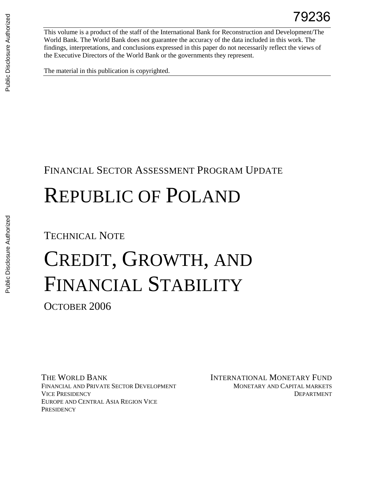This volume is a product of the staff of the International Bank for Reconstruction and Development/The World Bank. The World Bank does not guarantee the accuracy of the data included in this work. The findings, interpretations, and conclusions expressed in this paper do not necessarily reflect the views of the Executive Directors of the World Bank or the governments they represent.

The material in this publication is copyrighted.

# FINANCIAL SECTOR ASSESSMENT PROGRAM UPDATE

# REPUBLIC OF POLAND

# TECHNICAL NOTE

# CREDIT, GROWTH, AND FINANCIAL STABILITY

OCTOBER 2006

THE WORLD BANK INTERNATIONAL MONETARY FUND FINANCIAL AND PRIVATE SECTOR DEVELOPMENT VICE PRESIDENCY EUROPE AND CENTRAL ASIA REGION VICE **PRESIDENCY** 

MONETARY AND CAPITAL MARKETS DEPARTMENT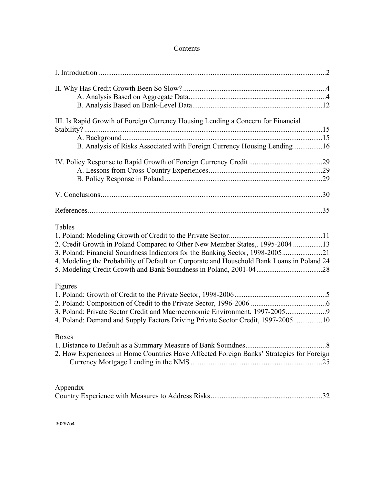| III. Is Rapid Growth of Foreign Currency Housing Lending a Concern for Financial          |     |
|-------------------------------------------------------------------------------------------|-----|
|                                                                                           |     |
| B. Analysis of Risks Associated with Foreign Currency Housing Lending16                   |     |
|                                                                                           |     |
|                                                                                           |     |
|                                                                                           |     |
|                                                                                           |     |
|                                                                                           |     |
|                                                                                           |     |
| Tables                                                                                    |     |
|                                                                                           |     |
| 2. Credit Growth in Poland Compared to Other New Member States, 1995-2004 13              |     |
| 3. Poland: Financial Soundness Indicators for the Banking Sector, 1998-200521             |     |
| 4. Modeling the Probability of Default on Corporate and Household Bank Loans in Poland 24 |     |
|                                                                                           |     |
| Figures                                                                                   |     |
|                                                                                           |     |
|                                                                                           |     |
| 3. Poland: Private Sector Credit and Macroeconomic Environment, 1997-2005                 |     |
| 4. Poland: Demand and Supply Factors Driving Private Sector Credit, 1997-200510           |     |
| <b>Boxes</b>                                                                              |     |
|                                                                                           |     |
| 2. How Experiences in Home Countries Have Affected Foreign Banks' Strategies for Foreign  |     |
|                                                                                           | .25 |
| Appendix                                                                                  |     |
|                                                                                           |     |

# Contents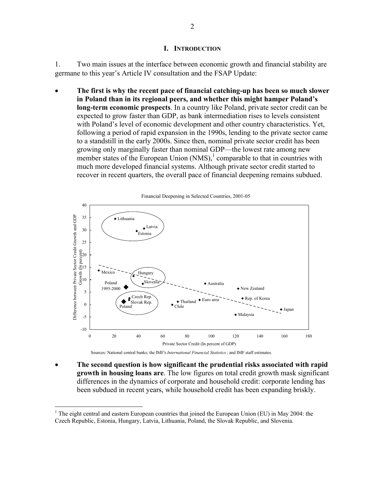#### **I. INTRODUCTION**

1. Two main issues at the interface between economic growth and financial stability are germane to this year's Article IV consultation and the FSAP Update:

• **The first is why the recent pace of financial catching-up has been so much slower in Poland than in its regional peers, and whether this might hamper Poland's long-term economic prospects**. In a country like Poland, private sector credit can be expected to grow faster than GDP, as bank intermediation rises to levels consistent with Poland's level of economic development and other country characteristics. Yet, following a period of rapid expansion in the 1990s, lending to the private sector came to a standstill in the early 2000s. Since then, nominal private sector credit has been growing only marginally faster than nominal GDP—the lowest rate among new member states of the European Union  $(NMS)$ ,<sup>1</sup> comparable to that in countries with much more developed financial systems. Although private sector credit started to recover in recent quarters, the overall pace of financial deepening remains subdued.



Sources: National central banks; the IMF's *International Financial Statistics*; and IMF staff estimates.

• **The second question is how significant the prudential risks associated with rapid growth in housing loans are**. The low figures on total credit growth mask significant differences in the dynamics of corporate and household credit: corporate lending has been subdued in recent years, while household credit has been expanding briskly.

 $\overline{a}$ 

<sup>&</sup>lt;sup>1</sup> The eight central and eastern European countries that joined the European Union (EU) in May 2004: the Czech Republic, Estonia, Hungary, Latvia, Lithuania, Poland, the Slovak Republic, and Slovenia.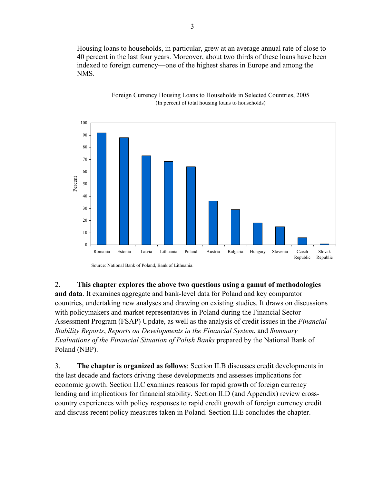Housing loans to households, in particular, grew at an average annual rate of close to 40 percent in the last four years. Moreover, about two thirds of these loans have been indexed to foreign currency—one of the highest shares in Europe and among the NMS.



Foreign Currency Housing Loans to Households in Selected Countries, 2005 (In percent of total housing loans to households)

2. **This chapter explores the above two questions using a gamut of methodologies and data**. It examines aggregate and bank-level data for Poland and key comparator countries, undertaking new analyses and drawing on existing studies. It draws on discussions with policymakers and market representatives in Poland during the Financial Sector Assessment Program (FSAP) Update, as well as the analysis of credit issues in the *Financial Stability Reports*, *Reports on Developments in the Financial System*, and *Summary Evaluations of the Financial Situation of Polish Banks* prepared by the National Bank of Poland (NBP).

3. **The chapter is organized as follows**: Section II.B discusses credit developments in the last decade and factors driving these developments and assesses implications for economic growth. Section II.C examines reasons for rapid growth of foreign currency lending and implications for financial stability. Section II.D (and Appendix) review crosscountry experiences with policy responses to rapid credit growth of foreign currency credit and discuss recent policy measures taken in Poland. Section II.E concludes the chapter.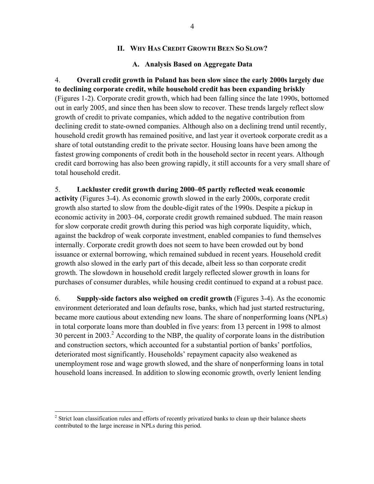#### **II. WHY HAS CREDIT GROWTH BEEN SO SLOW?**

#### **A. Analysis Based on Aggregate Data**

4. **Overall credit growth in Poland has been slow since the early 2000s largely due to declining corporate credit, while household credit has been expanding briskly**  (Figures 1-2). Corporate credit growth, which had been falling since the late 1990s, bottomed out in early 2005, and since then has been slow to recover. These trends largely reflect slow growth of credit to private companies, which added to the negative contribution from declining credit to state-owned companies. Although also on a declining trend until recently, household credit growth has remained positive, and last year it overtook corporate credit as a share of total outstanding credit to the private sector. Housing loans have been among the fastest growing components of credit both in the household sector in recent years. Although credit card borrowing has also been growing rapidly, it still accounts for a very small share of total household credit.

#### 5. **Lackluster credit growth during 2000–05 partly reflected weak economic**

**activity** (Figures 3-4). As economic growth slowed in the early 2000s, corporate credit growth also started to slow from the double-digit rates of the 1990s. Despite a pickup in economic activity in 2003–04, corporate credit growth remained subdued. The main reason for slow corporate credit growth during this period was high corporate liquidity, which, against the backdrop of weak corporate investment, enabled companies to fund themselves internally. Corporate credit growth does not seem to have been crowded out by bond issuance or external borrowing, which remained subdued in recent years. Household credit growth also slowed in the early part of this decade, albeit less so than corporate credit growth. The slowdown in household credit largely reflected slower growth in loans for purchases of consumer durables, while housing credit continued to expand at a robust pace.

6. **Supply-side factors also weighed on credit growth** (Figures 3-4). As the economic environment deteriorated and loan defaults rose, banks, which had just started restructuring, became more cautious about extending new loans. The share of nonperforming loans (NPLs) in total corporate loans more than doubled in five years: from 13 percent in 1998 to almost 30 percent in 2003.<sup>2</sup> According to the NBP, the quality of corporate loans in the distribution and construction sectors, which accounted for a substantial portion of banks' portfolios, deteriorated most significantly. Households' repayment capacity also weakened as unemployment rose and wage growth slowed, and the share of nonperforming loans in total household loans increased. In addition to slowing economic growth, overly lenient lending

 $\overline{a}$ 

 $2$  Strict loan classification rules and efforts of recently privatized banks to clean up their balance sheets contributed to the large increase in NPLs during this period.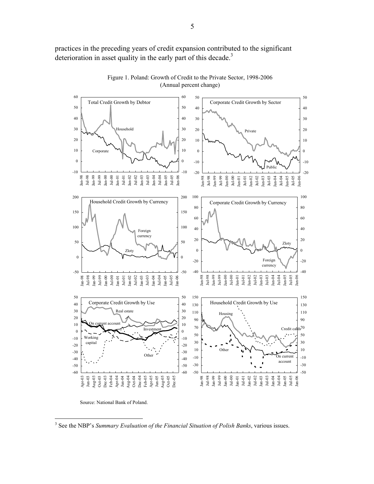practices in the preceding years of credit expansion contributed to the significant deterioration in asset quality in the early part of this decade.<sup>3</sup>



Figure 1. Poland: Growth of Credit to the Private Sector, 1998-2006 (Annual percent change)

 $\overline{a}$ 

Source: National Bank of Poland.

<sup>3</sup> See the NBP's *Summary Evaluation of the Financial Situation of Polish Banks*, various issues.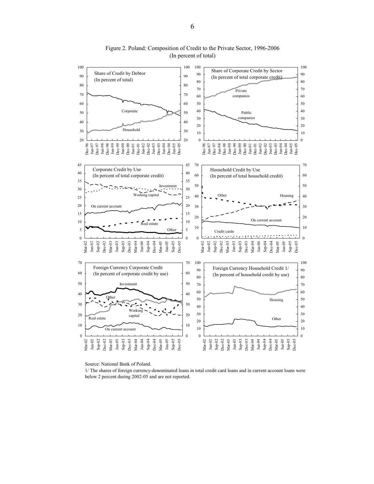

Figure 2. Poland: Composition of Credit to the Private Sector, 1996-2006 (In percent of total)

Source: National Bank of Poland.

1/ The shares of foreign currency-denominated loans in total credit card loans and in current account loans were below 2 percent during 2002-05 and are not reported.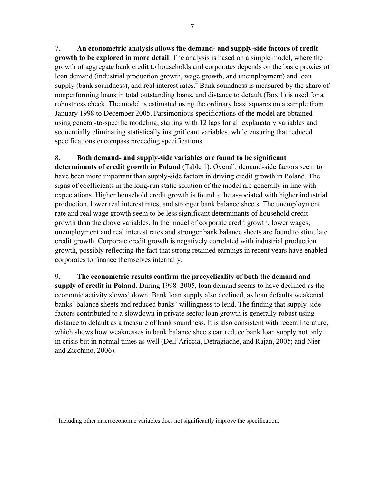7. **An econometric analysis allows the demand- and supply-side factors of credit growth to be explored in more detail**. The analysis is based on a simple model, where the growth of aggregate bank credit to households and corporates depends on the basic proxies of loan demand (industrial production growth, wage growth, and unemployment) and loan supply (bank soundness), and real interest rates.<sup>4</sup> Bank soundness is measured by the share of nonperforming loans in total outstanding loans, and distance to default (Box 1) is used for a robustness check. The model is estimated using the ordinary least squares on a sample from January 1998 to December 2005. Parsimonious specifications of the model are obtained using general-to-specific modeling, starting with 12 lags for all explanatory variables and sequentially eliminating statistically insignificant variables, while ensuring that reduced specifications encompass preceding specifications.

# 8. **Both demand- and supply-side variables are found to be significant**

**determinants of credit growth in Poland** (Table 1). Overall, demand-side factors seem to have been more important than supply-side factors in driving credit growth in Poland. The signs of coefficients in the long-run static solution of the model are generally in line with expectations. Higher household credit growth is found to be associated with higher industrial production, lower real interest rates, and stronger bank balance sheets. The unemployment rate and real wage growth seem to be less significant determinants of household credit growth than the above variables. In the model of corporate credit growth, lower wages, unemployment and real interest rates and stronger bank balance sheets are found to stimulate credit growth. Corporate credit growth is negatively correlated with industrial production growth, possibly reflecting the fact that strong retained earnings in recent years have enabled corporates to finance themselves internally.

9. **The econometric results confirm the procyclicality of both the demand and supply of credit in Poland**. During 1998–2005, loan demand seems to have declined as the economic activity slowed down. Bank loan supply also declined, as loan defaults weakened banks' balance sheets and reduced banks' willingness to lend. The finding that supply-side factors contributed to a slowdown in private sector loan growth is generally robust using distance to default as a measure of bank soundness. It is also consistent with recent literature, which shows how weaknesses in bank balance sheets can reduce bank loan supply not only in crisis but in normal times as well (Dell'Ariccia, Detragiache, and Rajan, 2005; and Nier and Zicchino, 2006).

 4 Including other macroeconomic variables does not significantly improve the specification.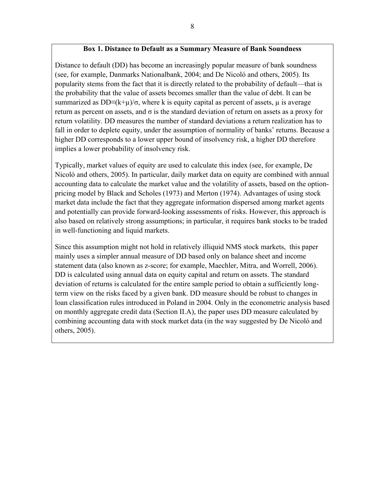## **Box 1. Distance to Default as a Summary Measure of Bank Soundness**

Distance to default (DD) has become an increasingly popular measure of bank soundness (see, for example, Danmarks Nationalbank, 2004; and De Nicoló and others, 2005). Its popularity stems from the fact that it is directly related to the probability of default—that is the probability that the value of assets becomes smaller than the value of debt. It can be summarized as DD≡(k+ $\mu$ )/ $\sigma$ , where k is equity capital as percent of assets,  $\mu$  is average return as percent on assets, and  $\sigma$  is the standard deviation of return on assets as a proxy for return volatility. DD measures the number of standard deviations a return realization has to fall in order to deplete equity, under the assumption of normality of banks' returns. Because a higher DD corresponds to a lower upper bound of insolvency risk, a higher DD therefore implies a lower probability of insolvency risk.

Typically, market values of equity are used to calculate this index (see, for example, De Nicoló and others, 2005). In particular, daily market data on equity are combined with annual accounting data to calculate the market value and the volatility of assets, based on the optionpricing model by Black and Scholes (1973) and Merton (1974). Advantages of using stock market data include the fact that they aggregate information dispersed among market agents and potentially can provide forward-looking assessments of risks. However, this approach is also based on relatively strong assumptions; in particular, it requires bank stocks to be traded in well-functioning and liquid markets.

Since this assumption might not hold in relatively illiquid NMS stock markets, this paper mainly uses a simpler annual measure of DD based only on balance sheet and income statement data (also known as z-score; for example, Maechler, Mitra, and Worrell, 2006). DD is calculated using annual data on equity capital and return on assets. The standard deviation of returns is calculated for the entire sample period to obtain a sufficiently longterm view on the risks faced by a given bank. DD measure should be robust to changes in loan classification rules introduced in Poland in 2004. Only in the econometric analysis based on monthly aggregate credit data (Section II.A), the paper uses DD measure calculated by combining accounting data with stock market data (in the way suggested by De Nicoló and others, 2005).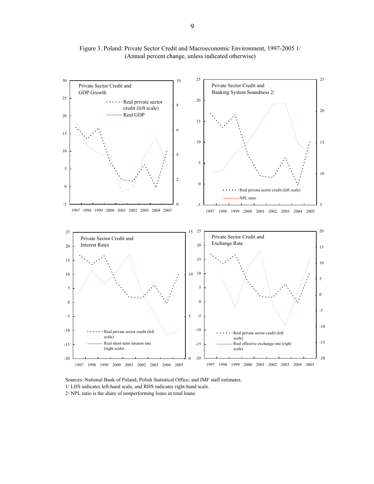

Figure 3. Poland: Private Sector Credit and Macroeconomic Environment, 1997-2005 1/ (Annual percent change, unless indicated otherwise)

Sources: National Bank of Poland; Polish Statistical Office; and IMF staff estimates. 1/ LHS indicates left-hand scale, and RHS indicates right-hand scale. 2/ NPL ratio is the share of nonperforming loans in total loans.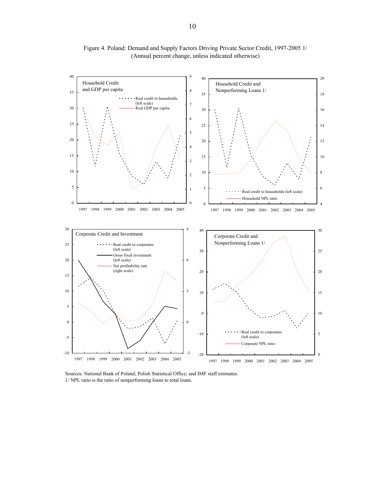

Figure 4. Poland: Demand and Supply Factors Driving Private Sector Credit, 1997-2005 1/ (Annual percent change, unless indicated otherwise)

Sources: National Bank of Poland; Polish Statistical Office; and IMF staff estimates. 1/ NPL ratio is the ratio of nonperforming loans to total loans.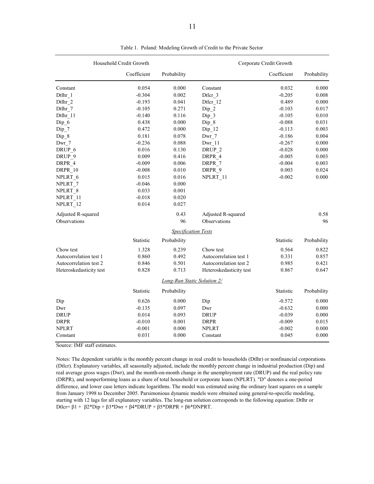|                         | Household Credit Growth |                                    |                              | Corporate Credit Growth |             |
|-------------------------|-------------------------|------------------------------------|------------------------------|-------------------------|-------------|
|                         | Coefficient             | Probability                        |                              | Coefficient             | Probability |
| Constant                | 0.054                   | 0.000                              | Constant                     | 0.032                   | 0.000       |
| Dtlhr 1                 | $-0.304$                | 0.002                              | Dtlcr 3                      | $-0.205$                | 0.008       |
| Dtlhr 2                 | $-0.193$                | 0.041                              | Dtlcr 12                     | 0.489                   | 0.000       |
| Dtlhr 7                 | $-0.105$                | 0.271                              | Dip 2                        | $-0.103$                | 0.017       |
| Dtlhr 11                | $-0.140$                | 0.116                              | Dip <sub>3</sub>             | $-0.105$                | 0.010       |
| Dip 6                   | 0.438                   | 0.000                              | Dip 8                        | $-0.088$                | 0.031       |
| $Dip_7$                 | 0.472                   | 0.000                              | Dip 12                       | $-0.113$                | 0.003       |
| Dip 8                   | 0.181                   | 0.078                              | Dwr 7                        | $-0.186$                | 0.004       |
| Dwr 7                   | $-0.236$                | 0.088                              | Dwr 11                       | $-0.267$                | 0.000       |
| DRUP 6                  | 0.016                   | 0.130                              | DRUP <sub>2</sub>            | $-0.028$                | 0.000       |
| DRUP 9                  | 0.009                   | 0.416                              | DRPR 4                       | $-0.005$                | 0.003       |
| DRPR 4                  | $-0.009$                | 0.006                              | DRPR_7                       | $-0.004$                | 0.003       |
| DRPR 10                 | $-0.008$                | 0.010                              | DRPR 9                       | 0.003                   | 0.024       |
| NPLRT 6                 | 0.015                   | 0.016                              | NPLRT 11                     | $-0.002$                | 0.000       |
| NPLRT_7                 | $-0.046$                | 0.000                              |                              |                         |             |
| NPLRT 8                 | 0.033                   | 0.001                              |                              |                         |             |
| NPLRT 11                | $-0.018$                | 0.020                              |                              |                         |             |
| NPLRT 12                | 0.014                   | 0.027                              |                              |                         |             |
| Adjusted R-squared      |                         | 0.43                               | Adjusted R-squared           |                         | 0.58        |
| Observations            |                         | 96                                 | Observations                 |                         | 96          |
|                         |                         | <b>Specification Tests</b>         |                              |                         |             |
|                         | Statistic               | Probability                        |                              | Statistic               | Probability |
| Chow test               | 1.328                   | 0.239                              | Chow test                    | 0.564                   | 0.822       |
| Autocorrelation test 1  | 0.860                   | 0.492                              | Autocorrelation test 1       | 0.331                   | 0.857       |
| Autocorrelation test 2  | 0.846                   | 0.501                              | Autocorrelation test 2       | 0.985                   | 0.421       |
| Heteroskedasticity test | 0.828                   | 0.713                              | Heteroskedasticity test      | 0.867                   | 0.647       |
|                         |                         | <b>Long-Run Static Solution 2/</b> |                              |                         |             |
|                         | Statistic               | Probability                        |                              | Statistic               | Probability |
| Dip                     | 0.626                   | 0.000                              | Dip                          | $-0.572$                | 0.000       |
| Dwr                     | $-0.135$                | 0.097                              | Dwr                          | $-0.632$                | 0.000       |
| <b>DRUP</b>             | 0.014                   | 0.093                              | $\ensuremath{\mathsf{DRUP}}$ | $-0.039$                | 0.000       |
| <b>DRPR</b>             | $-0.010$                | 0.001                              | <b>DRPR</b>                  | $-0.009$                | 0.015       |
| <b>NPLRT</b>            | $-0.001$                | 0.000                              | <b>NPLRT</b>                 | $-0.002$                | 0.000       |
| Constant                | 0.031                   | 0.000                              | Constant                     | 0.045                   | 0.000       |

Table 1. Poland: Modeling Growth of Credit to the Private Sector

Source: IMF staff estimates.

Notes: The dependent variable is the monthly percent change in real credit to households (Dtlhr) or nonfinancial corporations (Dtlcr). Explanatory variables, all seasonally adjusted, include the monthly percent change in industrial production (Dip) and real average gross wages (Dwr), and the month-on-month change in the unemployment rate (DRUP) and the real policy rate (DRPR), and nonperforming loans as a share of total household or corporate loans (NPLRT). "D" denotes a one-period difference, and lower case letters indicate logarithms. The model was estimated using the ordinary least squares on a sample from January 1998 to December 2005. Parsimonious dynamic models were obtained using general-to-specific modeling, starting with 12 lags for all explanatory variables. The long-run solution corresponds to the following equation: Dtlhr or Dtlcr= β1 + β2\*Dip + β3\*Dwr + β4\*DRUP + β5\*DRPR + β6\*DNPRT.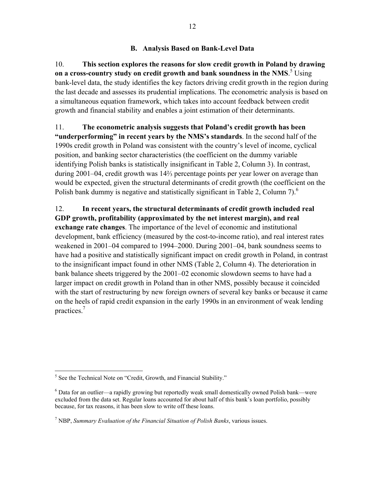## **B. Analysis Based on Bank-Level Data**

10. **This section explores the reasons for slow credit growth in Poland by drawing**  on a cross-country study on credit growth and bank soundness in the NMS.<sup>5</sup> Using bank-level data, the study identifies the key factors driving credit growth in the region during the last decade and assesses its prudential implications. The econometric analysis is based on a simultaneous equation framework, which takes into account feedback between credit growth and financial stability and enables a joint estimation of their determinants.

11. **The econometric analysis suggests that Poland's credit growth has been "underperforming" in recent years by the NMS's standards**. In the second half of the 1990s credit growth in Poland was consistent with the country's level of income, cyclical position, and banking sector characteristics (the coefficient on the dummy variable identifying Polish banks is statistically insignificant in Table 2, Column 3). In contrast, during 2001–04, credit growth was 14⅔ percentage points per year lower on average than would be expected, given the structural determinants of credit growth (the coefficient on the Polish bank dummy is negative and statistically significant in Table 2, Column 7). $^6$ 

12. **In recent years, the structural determinants of credit growth included real GDP growth, profitability (approximated by the net interest margin), and real exchange rate changes**. The importance of the level of economic and institutional development, bank efficiency (measured by the cost-to-income ratio), and real interest rates weakened in 2001–04 compared to 1994–2000. During 2001–04, bank soundness seems to have had a positive and statistically significant impact on credit growth in Poland, in contrast to the insignificant impact found in other NMS (Table 2, Column 4). The deterioration in bank balance sheets triggered by the 2001–02 economic slowdown seems to have had a larger impact on credit growth in Poland than in other NMS, possibly because it coincided with the start of restructuring by new foreign owners of several key banks or because it came on the heels of rapid credit expansion in the early 1990s in an environment of weak lending practices.7

<sup>&</sup>lt;sup>5</sup> See the Technical Note on "Credit, Growth, and Financial Stability."

<sup>&</sup>lt;sup>6</sup> Data for an outlier—a rapidly growing but reportedly weak small domestically owned Polish bank—were excluded from the data set. Regular loans accounted for about half of this bank's loan portfolio, possibly because, for tax reasons, it has been slow to write off these loans.

<sup>7</sup> NBP, *Summary Evaluation of the Financial Situation of Polish Banks*, various issues.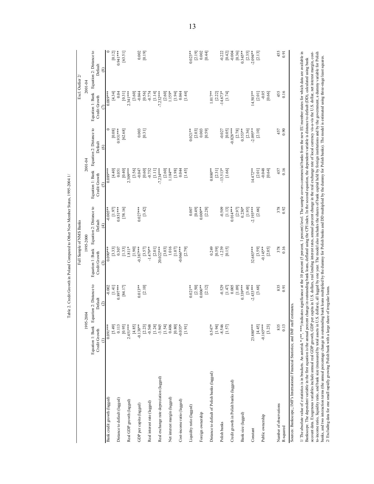|                                                                                         |                                |                         | Full Sample of NMS Banks                 |                          |                                           |                                          | Excl. Outlier 2/                 |                                          |
|-----------------------------------------------------------------------------------------|--------------------------------|-------------------------|------------------------------------------|--------------------------|-------------------------------------------|------------------------------------------|----------------------------------|------------------------------------------|
|                                                                                         | 1995-2004                      |                         | 1995-2000                                |                          | 2001-04                                   |                                          | 2001-04                          |                                          |
|                                                                                         | Equation 1: Bank               | Equation 2: Distance to | Equation 1: Bank Equation 2: Distance to |                          |                                           | Equation 1: Bank Equation 2: Distance to |                                  | Equation 1: Bank Equation 2: Distance to |
|                                                                                         | Credit Growth<br>$\widehat{=}$ | Default<br>$\circ$      | Credit Growth<br>$\widehat{\mathbf{c}}$  | Default<br>$\widehat{f}$ | Credit Growth<br>6                        | Default<br>$\odot$                       | Credit Growth<br>$\widehat{\in}$ | Default<br>$\circledast$                 |
| Bank credit growth (lagged)                                                             | $0.091***$                     | $-0.002$                | $0.090***$                               | $-0.005**$               | $0.089***$                                | $\circ$                                  | $0.089***$                       | $\mathbf{C}$                             |
|                                                                                         | [64.5]                         | [1.41]                  | [3.33]                                   | [1.97]                   | [4.40]                                    | [0.08]                                   | [4.34]                           | [0.12]                                   |
| Distance to default (lagged)                                                            | 0.113                          | $0.897***$              | 0.307                                    | $0.851***$               | 0.051                                     | $0.931***$                               | 0.04                             | $0.941***$                               |
|                                                                                         | [0.95]                         | [84.17]                 | [1.33]                                   | [58.16]                  | [0.40]                                    | [62.68]                                  | [0.31]                           | [63.51]                                  |
| Real GDP growth (lagged)                                                                | $2.451***$                     |                         | $1.811*$                                 |                          | $2.309***$                                |                                          | $2.341***$                       |                                          |
|                                                                                         | [4.85]                         |                         | [1.90]                                   |                          | $[3.56]$                                  |                                          | [3.60]                           |                                          |
| GDP per capita (lagged)                                                                 | $-0.138**$                     | $0.013***$              | $-0.387***$                              | $0.027***$               | $-0.047$                                  | 0.003                                    | $-0.044$                         | 0.002                                    |
|                                                                                         | [2.23]                         | [2.10]                  | [3.57]                                   | [3.42]                   | $[0.60]$<br>$-0.752$                      | [0.31]                                   | [0.56]                           | [0.19]                                   |
| Real interest rate (lagged)                                                             | [1.24]<br>$-0.548$             |                         | $-1.479**$<br>[2.01]                     |                          | $\begin{bmatrix} 1 & 1 & 1 \end{bmatrix}$ |                                          | [1.14]<br>$-0.774$               |                                          |
| Real exchange rate depreciation (lagged)                                                | $-3.945$                       |                         | 20.022****                               |                          | $-7.234***$                               |                                          | $-7.232***$                      |                                          |
|                                                                                         |                                |                         | $[3.03]$                                 |                          |                                           |                                          |                                  |                                          |
| Net interest margin (lagged)                                                            | $[1.54]$<br>0.406              |                         | 1.016                                    |                          | $[2.60]$<br>1.184**                       |                                          | $[2.60]$<br>1.159*               |                                          |
|                                                                                         | [0.80]                         |                         | [1.07]                                   |                          |                                           |                                          | [1.94]                           |                                          |
| Cost-income ratio (lagged)                                                              | $-0.035*$                      |                         | $-0.066***$                              |                          | $[1.98]$<br>0.044                         |                                          | 0.044                            |                                          |
|                                                                                         | [1.91]                         |                         | [2.79]                                   |                          | [1.45]                                    |                                          | [1.44]                           |                                          |
| Liquidity ratio (lagged)                                                                |                                | $0.021***$              |                                          | 0.007                    |                                           | $0.021**$                                |                                  | $0.023**$                                |
|                                                                                         |                                | [2.50]                  |                                          | [0.49]                   |                                           | [2.03]                                   |                                  | $[2.19]$<br>$0.002$                      |
| Foreign ownership                                                                       |                                | $0.006**$               |                                          | $0.009**$                |                                           | 0.003                                    |                                  |                                          |
|                                                                                         |                                | [2.12]                  |                                          | [2.28]                   |                                           | [0.59]                                   |                                  | [0.44]                                   |
| Distance to default of Polish banks (lagged)                                            | $0.547*$                       |                         | 0.249                                    |                          | $0.880**$                                 |                                          | $1.017**$                        |                                          |
|                                                                                         | [1.94]                         |                         | [0.59]                                   |                          | [2.31]                                    |                                          | [2.22]                           |                                          |
| Polish banks                                                                            | $-8.546$                       | $-0.529$                | $-1.239$                                 | $-0.509$                 | $-13.513*$                                | $-0.027$                                 | $-14.673*$                       | $-0.222$                                 |
|                                                                                         | $[1.57]$                       | [1.47]                  | [0.15]                                   | [1.13]                   | [1.66]                                    | [0.05]                                   | [1.74]                           | [0.42]                                   |
| Credit growth in Polish banks (lagged)                                                  |                                | 0.005                   |                                          | $0.014***$               |                                           | $-0.028***$                              |                                  | $-0.004$                                 |
|                                                                                         |                                | [1.09]                  |                                          | [2.97]                   |                                           | [2.78]                                   |                                  | [0.36]                                   |
| Bank size (lagged)                                                                      |                                | $0.339***$              |                                          | $0.230*$                 |                                           | $0.353**$                                |                                  | $0.345***$                               |
|                                                                                         |                                | [3.48]                  |                                          | [1.95]                   |                                           | [2.36]                                   |                                  | [2.35]                                   |
| Constant                                                                                | 23.880***                      | $-2.433***$             | 32.683***                                | $-2.193***$              | $14.472**$                                | $-2.095**$                               | $14.503**$                       | $-2.094**$                               |
|                                                                                         | [4.45]                         | [3.68]                  | [3.59]                                   | [2.66]                   | $[2.01]$                                  | [2.10]                                   | [2.01]                           | [2.13]                                   |
| Public ownership                                                                        | $-0.165***$                    |                         | $-0.145**$                               |                          | $-0.048$                                  |                                          | $-0.05$                          |                                          |
|                                                                                         | [3.23]                         |                         | [2.05]                                   |                          | [0.64]                                    |                                          | [0.66]                           |                                          |
| Number of observations                                                                  | 835                            | 835                     | 378<br>0.16                              | 378<br>0.92              | 457                                       | 457                                      | 455                              | 455                                      |
| R-squared                                                                               | 0.13                           | 0.91                    |                                          |                          | 0.16                                      | 0.90                                     | 0.16                             | 0.91                                     |
| Sources: Bankscope,; IMF's International Financial Statistics; and IMF staff estimates. |                                |                         |                                          |                          |                                           |                                          |                                  |                                          |
| 1/7                                                                                     | くううう ううしょ                      |                         |                                          |                          |                                           |                                          |                                  |                                          |

Table 2. Credit Growth in Poland Compared to Other New Member States, 1995-2004 1/ Table 2. Credit Growth in Poland Compared to Other New Member States, 1995-2004 1/

13

1/The absolute value of z statistics is in brackets. An asterisk \* (\*\*, \*\*\*) indicates significance at the 10 percent (5 percent) level. The sample covers commercial banks from the new EU member states for which data are a I/The absolute value of z statistics is in brackets. An asterisk \* (\*\*, \*\*\*) indicates significance at the 10 percent (5 percent) level. The sample covers commercial banks from the new EU member states for which data are a to-income ratio, and bank size (measured by total assets in U.S. dollars), all lagged by one year. The model also includes the shares of bank capital held by foreign institutions and by the government, a dummy variable for account data. Exogenous variables include amual real GDP growth, GDP per capita in U.S. dollars, real lending interest rates, annual percent change in the real exchange rate of local currency vis-a-vis the U.S. dollar, net banks, and two interaction terms (the annual percentage change change bank loans multiplied by the dumny for Polish banks and DD multiplied by the dummy for Polish banks). The model is estimated using three-stage least squ Bankscope. The dependent variable in the first equation is the annual percent change in outstanding bank loans, deflated using the CPI index. In the second equation, the dependent variable is distance to default (DD), calc 2/ Excluding data for one small rapidly growing Polish bank with a large share of irregular loans.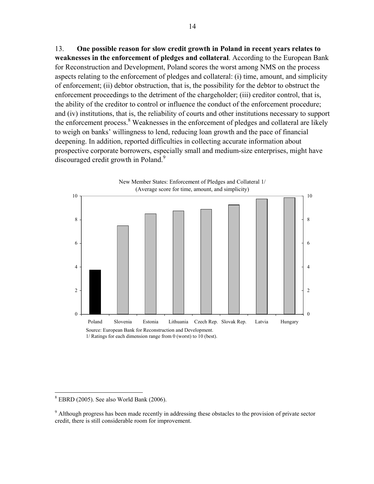13. **One possible reason for slow credit growth in Poland in recent years relates to weaknesses in the enforcement of pledges and collateral**. According to the European Bank for Reconstruction and Development, Poland scores the worst among NMS on the process aspects relating to the enforcement of pledges and collateral: (i) time, amount, and simplicity of enforcement; (ii) debtor obstruction, that is, the possibility for the debtor to obstruct the enforcement proceedings to the detriment of the chargeholder; (iii) creditor control, that is, the ability of the creditor to control or influence the conduct of the enforcement procedure; and (iv) institutions, that is, the reliability of courts and other institutions necessary to support the enforcement process.<sup>8</sup> Weaknesses in the enforcement of pledges and collateral are likely to weigh on banks' willingness to lend, reducing loan growth and the pace of financial deepening. In addition, reported difficulties in collecting accurate information about prospective corporate borrowers, especially small and medium-size enterprises, might have discouraged credit growth in Poland.<sup>9</sup>



<u>.</u>

 $8$  EBRD (2005). See also World Bank (2006).

<sup>&</sup>lt;sup>9</sup> Although progress has been made recently in addressing these obstacles to the provision of private sector credit, there is still considerable room for improvement.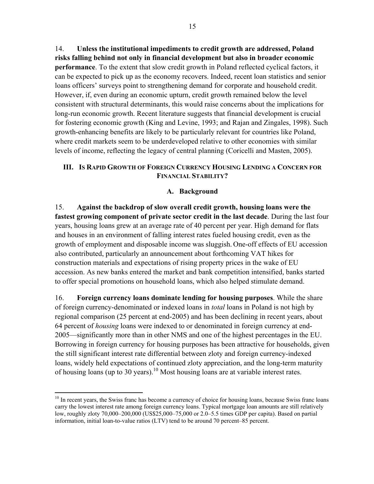14. **Unless the institutional impediments to credit growth are addressed, Poland risks falling behind not only in financial development but also in broader economic performance**. To the extent that slow credit growth in Poland reflected cyclical factors, it can be expected to pick up as the economy recovers. Indeed, recent loan statistics and senior loans officers' surveys point to strengthening demand for corporate and household credit. However, if, even during an economic upturn, credit growth remained below the level consistent with structural determinants, this would raise concerns about the implications for long-run economic growth. Recent literature suggests that financial development is crucial for fostering economic growth (King and Levine, 1993; and Rajan and Zingales, 1998). Such growth-enhancing benefits are likely to be particularly relevant for countries like Poland, where credit markets seem to be underdeveloped relative to other economies with similar levels of income, reflecting the legacy of central planning (Coricelli and Masten, 2005).

# **III. IS RAPID GROWTH OF FOREIGN CURRENCY HOUSING LENDING A CONCERN FOR FINANCIAL STABILITY?**

# **A. Background**

15. **Against the backdrop of slow overall credit growth, housing loans were the fastest growing component of private sector credit in the last decade**. During the last four years, housing loans grew at an average rate of 40 percent per year. High demand for flats and houses in an environment of falling interest rates fueled housing credit, even as the growth of employment and disposable income was sluggish. One-off effects of EU accession also contributed, particularly an announcement about forthcoming VAT hikes for construction materials and expectations of rising property prices in the wake of EU accession. As new banks entered the market and bank competition intensified, banks started to offer special promotions on household loans, which also helped stimulate demand.

16. **Foreign currency loans dominate lending for housing purposes**. While the share of foreign currency-denominated or indexed loans in *total* loans in Poland is not high by regional comparison (25 percent at end-2005) and has been declining in recent years, about 64 percent of *housing* loans were indexed to or denominated in foreign currency at end-2005—significantly more than in other NMS and one of the highest percentages in the EU. Borrowing in foreign currency for housing purposes has been attractive for households, given the still significant interest rate differential between zloty and foreign currency-indexed loans, widely held expectations of continued zloty appreciation, and the long-term maturity of housing loans (up to 30 years).<sup>10</sup> Most housing loans are at variable interest rates.

 $\overline{a}$ 

 $10$  In recent years, the Swiss franc has become a currency of choice for housing loans, because Swiss franc loans carry the lowest interest rate among foreign currency loans. Typical mortgage loan amounts are still relatively low, roughly zloty 70,000–200,000 (US\$25,000–75,000 or 2.0–5.5 times GDP per capita). Based on partial information, initial loan-to-value ratios (LTV) tend to be around 70 percent–85 percent.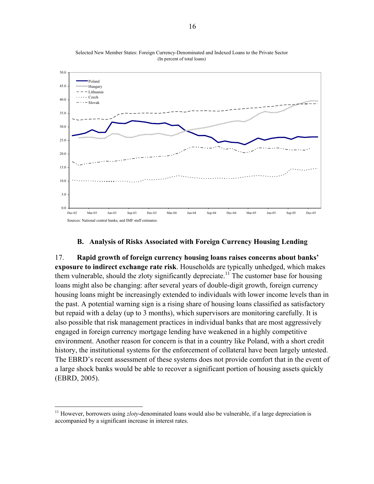

Selected New Member States: Foreign Currency-Denominated and Indexed Loans to the Private Sector (In percent of total loans)

#### **B. Analysis of Risks Associated with Foreign Currency Housing Lending**

17. **Rapid growth of foreign currency housing loans raises concerns about banks' exposure to indirect exchange rate risk**. Households are typically unhedged, which makes them vulnerable, should the zloty significantly depreciate.<sup>11</sup> The customer base for housing loans might also be changing: after several years of double-digit growth, foreign currency housing loans might be increasingly extended to individuals with lower income levels than in the past. A potential warning sign is a rising share of housing loans classified as satisfactory but repaid with a delay (up to 3 months), which supervisors are monitoring carefully. It is also possible that risk management practices in individual banks that are most aggressively engaged in foreign currency mortgage lending have weakened in a highly competitive environment. Another reason for concern is that in a country like Poland, with a short credit history, the institutional systems for the enforcement of collateral have been largely untested. The EBRD's recent assessment of these systems does not provide comfort that in the event of a large shock banks would be able to recover a significant portion of housing assets quickly (EBRD, 2005).

 $\overline{a}$ 

<sup>&</sup>lt;sup>11</sup> However, borrowers using *zloty*-denominated loans would also be vulnerable, if a large depreciation is accompanied by a significant increase in interest rates.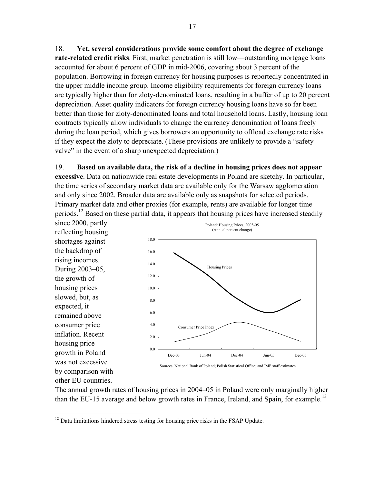18. **Yet, several considerations provide some comfort about the degree of exchange rate-related credit risks**. First, market penetration is still low—outstanding mortgage loans accounted for about 6 percent of GDP in mid-2006, covering about 3 percent of the population. Borrowing in foreign currency for housing purposes is reportedly concentrated in the upper middle income group. Income eligibility requirements for foreign currency loans are typically higher than for zloty-denominated loans, resulting in a buffer of up to 20 percent depreciation. Asset quality indicators for foreign currency housing loans have so far been better than those for zloty-denominated loans and total household loans. Lastly, housing loan contracts typically allow individuals to change the currency denomination of loans freely during the loan period, which gives borrowers an opportunity to offload exchange rate risks if they expect the zloty to depreciate. (These provisions are unlikely to provide a "safety valve" in the event of a sharp unexpected depreciation.)

19. **Based on available data, the risk of a decline in housing prices does not appear excessive**. Data on nationwide real estate developments in Poland are sketchy. In particular, the time series of secondary market data are available only for the Warsaw agglomeration and only since 2002. Broader data are available only as snapshots for selected periods. Primary market data and other proxies (for example, rents) are available for longer time periods.<sup>12</sup> Based on these partial data, it appears that housing prices have increased steadily

since 2000, partly reflecting housing shortages against the backdrop of rising incomes. During 2003–05, the growth of housing prices slowed, but, as expected, it remained above consumer price inflation. Recent housing price growth in Poland was not excessive by comparison with other EU countries.



The annual growth rates of housing prices in 2004–05 in Poland were only marginally higher than the EU-15 average and below growth rates in France, Ireland, and Spain, for example.<sup>13</sup>

<sup>1</sup>  $12$  Data limitations hindered stress testing for housing price risks in the FSAP Update.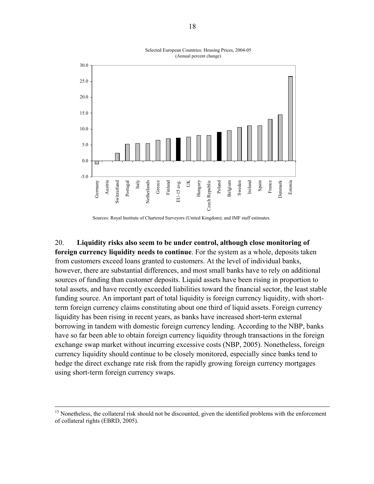

Selected European Countries: Housing Prices, 2004-05 (Annual percent change)

20. **Liquidity risks also seem to be under control, although close monitoring of foreign currency liquidity needs to continue**. For the system as a whole, deposits taken from customers exceed loans granted to customers. At the level of individual banks, however, there are substantial differences, and most small banks have to rely on additional sources of funding than customer deposits. Liquid assets have been rising in proportion to total assets, and have recently exceeded liabilities toward the financial sector, the least stable funding source. An important part of total liquidity is foreign currency liquidity, with shortterm foreign currency claims constituting about one third of liquid assets. Foreign currency liquidity has been rising in recent years, as banks have increased short-term external borrowing in tandem with domestic foreign currency lending. According to the NBP, banks have so far been able to obtain foreign currency liquidity through transactions in the foreign exchange swap market without incurring excessive costs (NBP, 2005). Nonetheless, foreign currency liquidity should continue to be closely monitored, especially since banks tend to hedge the direct exchange rate risk from the rapidly growing foreign currency mortgages using short-term foreign currency swaps.

Sources: Royal Institute of Chartered Surveyors (United Kingdom); and IMF staff estimates.

<sup>&</sup>lt;sup>13</sup> Nonetheless, the collateral risk should not be discounted, given the identified problems with the enforcement of collateral rights (EBRD, 2005).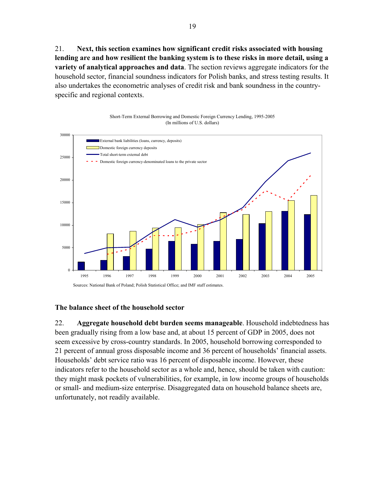21. **Next, this section examines how significant credit risks associated with housing lending are and how resilient the banking system is to these risks in more detail, using a variety of analytical approaches and data**. The section reviews aggregate indicators for the household sector, financial soundness indicators for Polish banks, and stress testing results. It also undertakes the econometric analyses of credit risk and bank soundness in the countryspecific and regional contexts.

Short-Term External Borrowing and Domestic Foreign Currency Lending, 1995-2005 (In millions of U.S. dollars)



Sources: National Bank of Poland; Polish Statistical Office; and IMF staff estimates.

#### **The balance sheet of the household sector**

22. **Aggregate household debt burden seems manageable**. Household indebtedness has been gradually rising from a low base and, at about 15 percent of GDP in 2005, does not seem excessive by cross-country standards. In 2005, household borrowing corresponded to 21 percent of annual gross disposable income and 36 percent of households' financial assets. Households' debt service ratio was 16 percent of disposable income. However, these indicators refer to the household sector as a whole and, hence, should be taken with caution: they might mask pockets of vulnerabilities, for example, in low income groups of households or small- and medium-size enterprise. Disaggregated data on household balance sheets are, unfortunately, not readily available.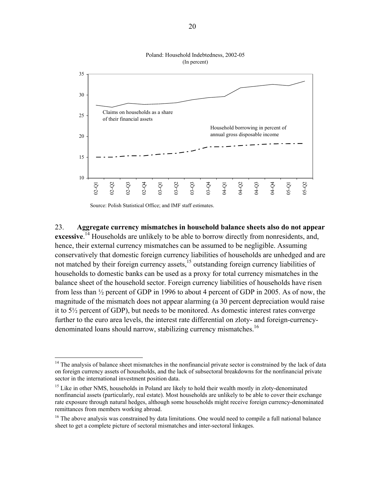

#### Poland: Household Indebtedness, 2002-05 (In percent)

Source: Polish Statistical Office; and IMF staff estimates.

 $\overline{a}$ 

23. **Aggregate currency mismatches in household balance sheets also do not appear**  excessive.<sup>14</sup> Households are unlikely to be able to borrow directly from nonresidents, and, hence, their external currency mismatches can be assumed to be negligible. Assuming conservatively that domestic foreign currency liabilities of households are unhedged and are not matched by their foreign currency assets, $15$  outstanding foreign currency liabilities of households to domestic banks can be used as a proxy for total currency mismatches in the balance sheet of the household sector. Foreign currency liabilities of households have risen from less than ½ percent of GDP in 1996 to about 4 percent of GDP in 2005. As of now, the magnitude of the mismatch does not appear alarming (a 30 percent depreciation would raise it to 5½ percent of GDP), but needs to be monitored. As domestic interest rates converge further to the euro area levels, the interest rate differential on zloty- and foreign-currencydenominated loans should narrow, stabilizing currency mismatches.<sup>16</sup>

 $14$  The analysis of balance sheet mismatches in the nonfinancial private sector is constrained by the lack of data on foreign currency assets of households, and the lack of subsectoral breakdowns for the nonfinancial private sector in the international investment position data.

<sup>&</sup>lt;sup>15</sup> Like in other NMS, households in Poland are likely to hold their wealth mostly in zloty-denominated nonfinancial assets (particularly, real estate). Most households are unlikely to be able to cover their exchange rate exposure through natural hedges, although some households might receive foreign currency-denominated remittances from members working abroad.

<sup>&</sup>lt;sup>16</sup> The above analysis was constrained by data limitations. One would need to compile a full national balance sheet to get a complete picture of sectoral mismatches and inter-sectoral linkages.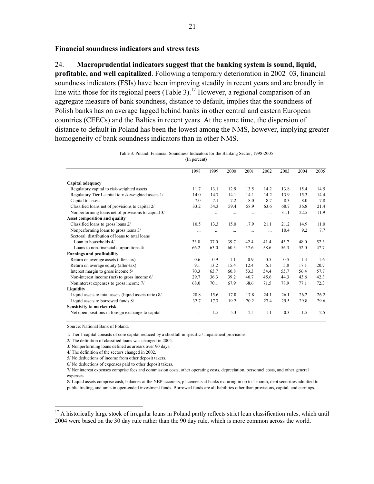#### **Financial soundness indicators and stress tests**

#### 24. **Macroprudential indicators suggest that the banking system is sound, liquid,**

**profitable, and well capitalized**. Following a temporary deterioration in 2002–03, financial soundness indicators (FSIs) have been improving steadily in recent years and are broadly in line with those for its regional peers (Table 3).<sup>17</sup> However, a regional comparison of an aggregate measure of bank soundness, distance to default, implies that the soundness of Polish banks has on average lagged behind banks in other central and eastern European countries (CEECs) and the Baltics in recent years. At the same time, the dispersion of distance to default in Poland has been the lowest among the NMS, however, implying greater homogeneity of bank soundness indicators than in other NMS.

|  | Table 3. Poland: Financial Soundness Indicators for the Banking Sector, 1998-2005 |              |  |  |  |
|--|-----------------------------------------------------------------------------------|--------------|--|--|--|
|  |                                                                                   | (In percent) |  |  |  |

|                                                        | 1998     | 1999     | 2000 | 2001 | 2002     | 2003 | 2004 | 2005 |
|--------------------------------------------------------|----------|----------|------|------|----------|------|------|------|
| Capital adequacy                                       |          |          |      |      |          |      |      |      |
| Regulatory capital to risk-weighted assets             | 11.7     | 13.1     | 12.9 | 13.5 | 14.2     | 13.8 | 15.4 | 14.5 |
| Regulatory Tier I capital to risk-weighted assets 1/   | 14.0     | 14.7     | 14.1 | 14.1 | 14.2     | 13.9 | 15.3 | 14.4 |
| Capital to assets                                      | 7.0      | 7.1      | 7.2  | 8.0  | 8.7      | 8.3  | 8.0  | 7.8  |
| Classified loans net of provisions to capital 2/       | 33.2     | 54.3     | 59.4 | 58.9 | 63.6     | 68.7 | 36.8 | 21.4 |
| Nonperforming loans net of provisions to capital 3/    |          | .        |      |      | $\cdots$ | 31.1 | 22.5 | 11.9 |
| Asset composition and quality                          |          |          |      |      |          |      |      |      |
| Classified loans to gross loans 2/                     | 10.5     | 13.3     | 15.0 | 17.9 | 21.1     | 21.2 | 14.9 | 11.0 |
| Nonperforming loans to gross loans 3/                  | $\cdots$ | $\cdots$ |      |      | $\cdots$ | 10.4 | 9.2  | 7.7  |
| Sectoral distribution of loans to total loans          |          |          |      |      |          |      |      |      |
| Loan to households 4/                                  | 33.8     | 37.0     | 39.7 | 42.4 | 41.4     | 43.7 | 48.0 | 52.3 |
| Loans to non-financial corporations 4/                 | 66.2     | 63.0     | 60.3 | 57.6 | 58.6     | 56.3 | 52.0 | 47.7 |
| <b>Earnings and profitability</b>                      |          |          |      |      |          |      |      |      |
| Return on average assets (after-tax)                   | 0.6      | 0.9      | 1.1  | 0.9  | 0.5      | 0.5  | 1.4  | 1.6  |
| Return on average equity (after-tax)                   | 9.1      | 13.2     | 15.4 | 12.4 | 6.1      | 5.8  | 17.1 | 20.7 |
| Interest margin to gross income 5/                     | 70.3     | 63.7     | 60.8 | 53.3 | 54.4     | 55.7 | 56.4 | 57.7 |
| Non-interest income (net) to gross income 6/           | 29.7     | 36.3     | 39.2 | 46.7 | 45.6     | 44.3 | 43.6 | 42.3 |
| Noninterest expenses to gross income 7/                | 68.0     | 70.1     | 67.9 | 68.6 | 71.5     | 78.9 | 77.1 | 72.3 |
| Liquidity                                              |          |          |      |      |          |      |      |      |
| Liquid assets to total assets (liquid assets ratio) 8/ | 28.8     | 15.6     | 17.0 | 17.8 | 24.1     | 26.1 | 26.2 | 26.2 |
| Liquid assets to borrowed funds 8/                     | 32.7     | 17.7     | 19.2 | 20.2 | 27.4     | 29.5 | 29.8 | 29.6 |
| Sensitivity to market risk                             |          |          |      |      |          |      |      |      |
| Net open positions in foreign exchange to capital      |          | $-1.5$   | 5.3  | 2.1  | 1.1      | 0.3  | 1.5  | 2.5  |

Source: National Bank of Poland.

 $\overline{a}$ 

1/ Tier 1 capital consists of core capital reduced by a shortfall in specific / impairment provisions.

2/ The definition of classified loans was changed in 2004.

3/ Nonperforming loans defined as arrears over 90 days.

4/ The definition of the sectors changed in 2002.

5/ No deductions of income from other deposit takers.

6/ No deductions of expenses paid to other deposit takers.

7/ Noninterest expenses comprise fees and commission costs, other operating costs, depreciation, personnel costs, and other general expenses.

8/ Liquid assets comprise cash, balances at the NBP accounts, placements at banks maturing in up to 1 month, debt securities admitted to public trading, and units in open-ended investment funds. Borrowed funds are all liabilities other than provisions, capital, and earnings.

<sup>&</sup>lt;sup>17</sup> A historically large stock of irregular loans in Poland partly reflects strict loan classification rules, which until 2004 were based on the 30 day rule rather than the 90 day rule, which is more common across the world.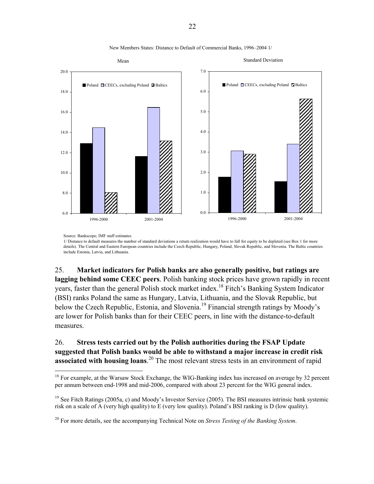

New Members States: Distance to Default of Commercial Banks, 1996–2004 1/

Source: Bankscope; IMF staff estimates.

 $\overline{a}$ 

1/ Distance to default measures the number of standard deviations a return realization would have to fall for equity to be depleted (see Box 1 for more details). The Central and Eastern European countries include the Czech Republic, Hungary, Poland, Slovak Republic, and Slovenia. The Baltic countries include Estonia, Latvia, and Lithuania.

25. **Market indicators for Polish banks are also generally positive, but ratings are lagging behind some CEEC peers**. Polish banking stock prices have grown rapidly in recent years, faster than the general Polish stock market index.18 Fitch's Banking System Indicator (BSI) ranks Poland the same as Hungary, Latvia, Lithuania, and the Slovak Republic, but below the Czech Republic, Estonia, and Slovenia.<sup>19</sup> Financial strength ratings by Moody's are lower for Polish banks than for their CEEC peers, in line with the distance-to-default measures.

# 26. **Stress tests carried out by the Polish authorities during the FSAP Update suggested that Polish banks would be able to withstand a major increase in credit risk associated with housing loans**. 20 The most relevant stress tests in an environment of rapid

<sup>&</sup>lt;sup>18</sup> For example, at the Warsaw Stock Exchange, the WIG-Banking index has increased on average by 32 percent per annum between end-1998 and mid-2006, compared with about 23 percent for the WIG general index.

<sup>&</sup>lt;sup>19</sup> See Fitch Ratings (2005a, c) and Moody's Investor Service (2005). The BSI measures intrinsic bank systemic risk on a scale of A (very high quality) to E (very low quality). Poland's BSI ranking is D (low quality).

<sup>20</sup> For more details, see the accompanying Technical Note on *Stress Testing of the Banking System*.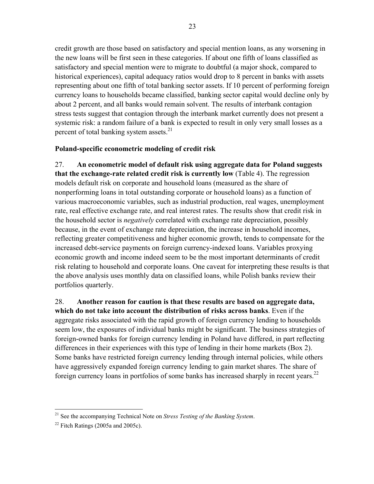credit growth are those based on satisfactory and special mention loans, as any worsening in the new loans will be first seen in these categories. If about one fifth of loans classified as satisfactory and special mention were to migrate to doubtful (a major shock, compared to historical experiences), capital adequacy ratios would drop to 8 percent in banks with assets representing about one fifth of total banking sector assets. If 10 percent of performing foreign currency loans to households became classified, banking sector capital would decline only by about 2 percent, and all banks would remain solvent. The results of interbank contagion stress tests suggest that contagion through the interbank market currently does not present a systemic risk: a random failure of a bank is expected to result in only very small losses as a percent of total banking system assets. $21$ 

## **Poland-specific econometric modeling of credit risk**

27. **An econometric model of default risk using aggregate data for Poland suggests that the exchange-rate related credit risk is currently low** (Table 4). The regression models default risk on corporate and household loans (measured as the share of nonperforming loans in total outstanding corporate or household loans) as a function of various macroeconomic variables, such as industrial production, real wages, unemployment rate, real effective exchange rate, and real interest rates. The results show that credit risk in the household sector is *negatively* correlated with exchange rate depreciation, possibly because, in the event of exchange rate depreciation, the increase in household incomes, reflecting greater competitiveness and higher economic growth, tends to compensate for the increased debt-service payments on foreign currency-indexed loans. Variables proxying economic growth and income indeed seem to be the most important determinants of credit risk relating to household and corporate loans. One caveat for interpreting these results is that the above analysis uses monthly data on classified loans, while Polish banks review their portfolios quarterly.

28. **Another reason for caution is that these results are based on aggregate data, which do not take into account the distribution of risks across banks**. Even if the aggregate risks associated with the rapid growth of foreign currency lending to households seem low, the exposures of individual banks might be significant. The business strategies of foreign-owned banks for foreign currency lending in Poland have differed, in part reflecting differences in their experiences with this type of lending in their home markets (Box 2). Some banks have restricted foreign currency lending through internal policies, while others have aggressively expanded foreign currency lending to gain market shares. The share of foreign currency loans in portfolios of some banks has increased sharply in recent years.<sup>22</sup>

1

<sup>21</sup> See the accompanying Technical Note on *Stress Testing of the Banking System*.

 $22$  Fitch Ratings (2005a and 2005c).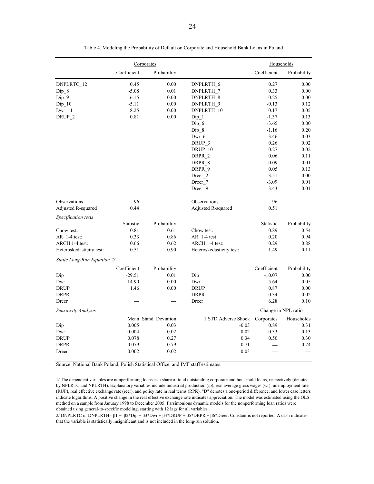|                             |             | Corporates            |                          | Households          |             |
|-----------------------------|-------------|-----------------------|--------------------------|---------------------|-------------|
|                             | Coefficient | Probability           |                          | Coefficient         | Probability |
| DNPLRTC_12                  | 0.45        | 0.00                  | DNPLRTH_6                | 0.27                | 0.00        |
| $Dip_8$                     | $-5.08$     | 0.01                  | <b>DNPLRTH 7</b>         | 0.33                | 0.00        |
| Dip 9                       | $-6.15$     | 0.00                  | <b>DNPLRTH 8</b>         | $-0.25$             | 0.00        |
| $Dip_10$                    | $-5.11$     | 0.00                  | DNPLRTH 9                | $-0.13$             | 0.12        |
| Dwr 11                      | 8.25        | 0.00                  | DNPLRTH 10               | 0.17                | 0.05        |
| DRUP_2                      | 0.81        | 0.00                  | $Dip_1$                  | $-1.37$             | 0.13        |
|                             |             |                       | $Dip_6$                  | $-3.65$             | 0.00        |
|                             |             |                       | Dip 8                    | $-1.16$             | 0.20        |
|                             |             |                       | Dwr_6                    | $-3.46$             | 0.03        |
|                             |             |                       | DRUP <sub>_3</sub>       | 0.26                | 0.02        |
|                             |             |                       | DRUP 10                  | 0.27                | 0.02        |
|                             |             |                       | DRPR_2                   | 0.06                | 0.11        |
|                             |             |                       | DRPR 8                   | 0.09                | 0.01        |
|                             |             |                       | DRPR 9                   | 0.05                | 0.13        |
|                             |             |                       | Dreer 2                  | 3.51                | 0.00        |
|                             |             |                       | Dreer 7                  | $-3.09$             | 0.01        |
|                             |             |                       | Dreer_9                  | 3.43                | 0.01        |
| Observations                | 96          |                       | Observations             | 96                  |             |
| Adjusted R-squared          | 0.44        |                       | Adjusted R-squared       | 0.51                |             |
| Specification tests         |             |                       |                          |                     |             |
|                             | Statistic   | Probability           |                          | Statistic           | Probability |
| Chow test:                  | 0.81        | 0.61                  | Chow test:               | 0.89                | 0.54        |
| AR 1-4 test:                | 0.33        | 0.86                  | AR 1-4 test:             | 0.20                | 0.94        |
| ARCH 1-4 test:              | 0.66        | 0.62                  | ARCH 1-4 test:           | 0.29                | 0.88        |
| Heteroskedasticity test:    | 0.51        | 0.90                  | Heteroskedasticity test: | 1.49                | 0.11        |
| Static Long-Run Equation 2/ |             |                       |                          |                     |             |
|                             | Coefficient | Probability           |                          | Coefficient         | Probability |
| Dip                         | $-29.51$    | 0.01                  | Dip                      | $-10.07$            | 0.00        |
| Dwr                         | 14.90       | 0.00                  | Dwr                      | $-5.64$             | 0.05        |
| <b>DRUP</b>                 | 1.46        | 0.00                  | <b>DRUP</b>              | 0.87                | $0.00\,$    |
| <b>DRPR</b>                 |             |                       | <b>DRPR</b>              | 0.34                | 0.02        |
| Dreer                       |             |                       | Dreer                    | 6.28                | 0.10        |
| Sensitivity Analysis        |             |                       |                          | Change in NPL ratio |             |
|                             |             | Mean Stand. Deviation | 1 STD Adverse Shock      | Corporates          | Households  |
| Dip                         | 0.005       | 0.03                  | $-0.03$                  | 0.89                | 0.31        |
| Dwr                         | 0.004       | 0.02                  | $0.02\,$                 | 0.33                | 0.13        |
| <b>DRUP</b>                 | 0.078       | 0.27                  | 0.34                     | 0.50                | 0.30        |
| <b>DRPR</b>                 | $-0.079$    | 0.79                  | 0.71                     |                     | 0.24        |
| Dreer                       | 0.002       | 0.02                  | 0.03                     |                     |             |

Table 4. Modeling the Probability of Default on Corporate and Household Bank Loans in Poland

Source: National Bank Poland, Polish Statistical Office, and IMF staff estimates.

1/ The dependent variables are nonperforming loans as a share of total outstanding corporate and household loans, respectively (denoted by NPLRTC and NPLRTH). Explanatory variables include industrial production (ip), real average gross wages (wr), unemployment rate (RUP), real effective exchange rate (reer), and policy rate in real terms (RPR). "D" denotes a one-period difference, and lower case letters indicate logarithms. A positive change in the real effective exchange rate indicates appreciation. The model was estimated using the OLS method on a sample from January 1998 to December 2005. Parsimonious dynamic models for the nonperforming loan ratios were obtained using general-to-specific modeling, starting with 12 lags for all variables.

2/ DNPLRTC or DNPLRTH=  $β1 + β2 *Dip + β3 *Dwr + β4 *DRUP + β5 *DRPR + β6 *Dreer. Constant is not reported. A dash indicates$ that the variable is statistically insignificant and is not included in the long-run solution.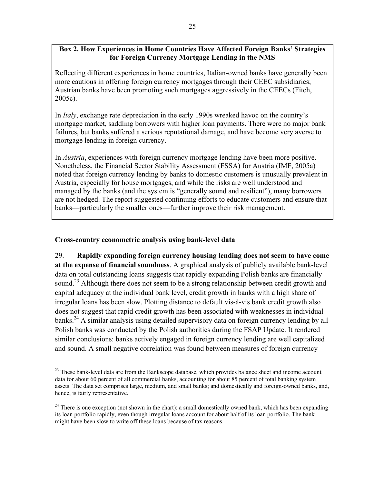# **Box 2. How Experiences in Home Countries Have Affected Foreign Banks' Strategies for Foreign Currency Mortgage Lending in the NMS**

Reflecting different experiences in home countries, Italian-owned banks have generally been more cautious in offering foreign currency mortgages through their CEEC subsidiaries; Austrian banks have been promoting such mortgages aggressively in the CEECs (Fitch, 2005c).

In *Italy*, exchange rate depreciation in the early 1990s wreaked havoc on the country's mortgage market, saddling borrowers with higher loan payments. There were no major bank failures, but banks suffered a serious reputational damage, and have become very averse to mortgage lending in foreign currency.

In *Austria*, experiences with foreign currency mortgage lending have been more positive. Nonetheless, the Financial Sector Stability Assessment (FSSA) for Austria (IMF, 2005a) noted that foreign currency lending by banks to domestic customers is unusually prevalent in Austria, especially for house mortgages, and while the risks are well understood and managed by the banks (and the system is "generally sound and resilient"), many borrowers are not hedged. The report suggested continuing efforts to educate customers and ensure that banks—particularly the smaller ones—further improve their risk management.

# **Cross-country econometric analysis using bank-level data**

 $\overline{a}$ 

29. **Rapidly expanding foreign currency housing lending does not seem to have come at the expense of financial soundness**. A graphical analysis of publicly available bank-level data on total outstanding loans suggests that rapidly expanding Polish banks are financially sound.<sup>23</sup> Although there does not seem to be a strong relationship between credit growth and capital adequacy at the individual bank level, credit growth in banks with a high share of irregular loans has been slow. Plotting distance to default vis-à-vis bank credit growth also does not suggest that rapid credit growth has been associated with weaknesses in individual banks.<sup>24</sup> A similar analysis using detailed supervisory data on foreign currency lending by all Polish banks was conducted by the Polish authorities during the FSAP Update. It rendered similar conclusions: banks actively engaged in foreign currency lending are well capitalized and sound. A small negative correlation was found between measures of foreign currency

<sup>&</sup>lt;sup>23</sup> These bank-level data are from the Bankscope database, which provides balance sheet and income account data for about 60 percent of all commercial banks, accounting for about 85 percent of total banking system assets. The data set comprises large, medium, and small banks; and domestically and foreign-owned banks, and, hence, is fairly representative.

<sup>&</sup>lt;sup>24</sup> There is one exception (not shown in the chart): a small domestically owned bank, which has been expanding its loan portfolio rapidly, even though irregular loans account for about half of its loan portfolio. The bank might have been slow to write off these loans because of tax reasons.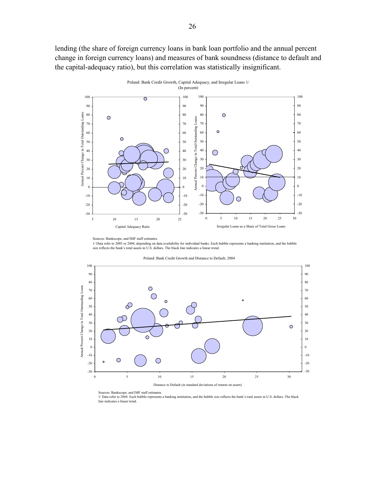lending (the share of foreign currency loans in bank loan portfolio and the annual percent change in foreign currency loans) and measures of bank soundness (distance to default and the capital-adequacy ratio), but this correlation was statistically insignificant.



Sources: Bankscope; and IMF staff estimates. 1/ Data refer to 2005 or 2004, depending on data availability for individual banks. Each bubble represents a banking institution, and the bubble size reflects the bank's total assets in U.S. dollars. The black line indicates a linear trend.

Poland: Bank Credit Growth and Distance to Default, 2004



Sources: Bankscope; and IMF staff estimates.

1/ Data refer to 2004. Each bubble represents a banking institution, and the bubble size reflects the bank's total assets in U.S. dollars. The black line indicates a linear trend.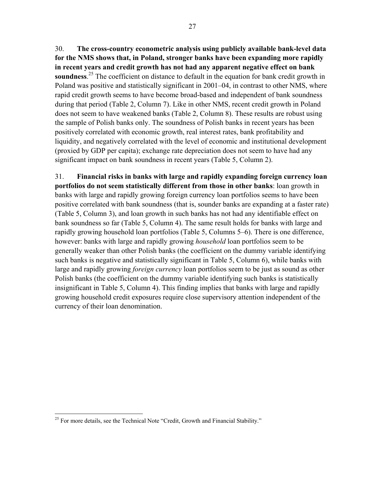27

30. **The cross-country econometric analysis using publicly available bank-level data for the NMS shows that, in Poland, stronger banks have been expanding more rapidly in recent years and credit growth has not had any apparent negative effect on bank**  soundness.<sup>25</sup> The coefficient on distance to default in the equation for bank credit growth in Poland was positive and statistically significant in 2001–04, in contrast to other NMS, where rapid credit growth seems to have become broad-based and independent of bank soundness during that period (Table 2, Column 7). Like in other NMS, recent credit growth in Poland does not seem to have weakened banks (Table 2, Column 8). These results are robust using the sample of Polish banks only. The soundness of Polish banks in recent years has been positively correlated with economic growth, real interest rates, bank profitability and liquidity, and negatively correlated with the level of economic and institutional development (proxied by GDP per capita); exchange rate depreciation does not seem to have had any significant impact on bank soundness in recent years (Table 5, Column 2).

31. **Financial risks in banks with large and rapidly expanding foreign currency loan portfolios do not seem statistically different from those in other banks**: loan growth in banks with large and rapidly growing foreign currency loan portfolios seems to have been positive correlated with bank soundness (that is, sounder banks are expanding at a faster rate) (Table 5, Column 3), and loan growth in such banks has not had any identifiable effect on bank soundness so far (Table 5, Column 4). The same result holds for banks with large and rapidly growing household loan portfolios (Table 5, Columns 5–6). There is one difference, however: banks with large and rapidly growing *household* loan portfolios seem to be generally weaker than other Polish banks (the coefficient on the dummy variable identifying such banks is negative and statistically significant in Table 5, Column 6), while banks with large and rapidly growing *foreign currency* loan portfolios seem to be just as sound as other Polish banks (the coefficient on the dummy variable identifying such banks is statistically insignificant in Table 5, Column 4). This finding implies that banks with large and rapidly growing household credit exposures require close supervisory attention independent of the currency of their loan denomination.

 $\overline{a}$  $25$  For more details, see the Technical Note "Credit, Growth and Financial Stability."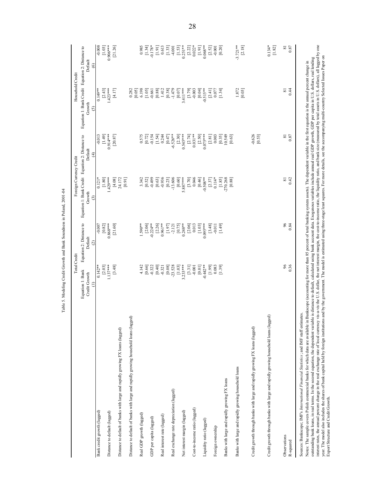|                                                                                                                                                                                                                                                                                                                                                                                               |                      | <b>Total Credit</b>  |                                                                         | Foreign Currency Credit | Household Credit                                                                                                                                             |                          |
|-----------------------------------------------------------------------------------------------------------------------------------------------------------------------------------------------------------------------------------------------------------------------------------------------------------------------------------------------------------------------------------------------|----------------------|----------------------|-------------------------------------------------------------------------|-------------------------|--------------------------------------------------------------------------------------------------------------------------------------------------------------|--------------------------|
|                                                                                                                                                                                                                                                                                                                                                                                               | Equation 1: Bank     |                      | Equation 2: Distance to Equation 1: Bank Credit Equation 2: Distance to |                         | Equation 1: Bank Credit Equation 2: Distance to                                                                                                              |                          |
|                                                                                                                                                                                                                                                                                                                                                                                               | Credit Growth        | Default              | Growth                                                                  | Default                 | Growth                                                                                                                                                       | Default                  |
|                                                                                                                                                                                                                                                                                                                                                                                               | €                    | $\widehat{\alpha}$   | $\widehat{c}$                                                           | $\widehat{E}$           | $\tilde{c}$                                                                                                                                                  | $\circ$                  |
| Bank credit growth (lagged)                                                                                                                                                                                                                                                                                                                                                                   | $0.142**$<br>[2.03]  | [0.82]<br>$-0.007$   | $0.121*$<br>$[1.80]$                                                    | $-0.013$<br>[1.49]      | $0.149**$<br>[2.43]                                                                                                                                          | $-0.008$<br>[1.03]       |
| Distance to default (lagged)                                                                                                                                                                                                                                                                                                                                                                  | $1.137***$           | $0.868***$           | 1.429****                                                               | $0.914***$              | $1.423***$                                                                                                                                                   | $0.906***$               |
|                                                                                                                                                                                                                                                                                                                                                                                               | [3.48]               | [21.60]              | [4.08]                                                                  | [20.87]                 | [4.17]                                                                                                                                                       | [21.26]                  |
| Distance to default of banks with large and rapidly growing FX loans (lagged)                                                                                                                                                                                                                                                                                                                 |                      |                      | 24.172                                                                  |                         |                                                                                                                                                              |                          |
|                                                                                                                                                                                                                                                                                                                                                                                               |                      |                      | [0.91]                                                                  |                         |                                                                                                                                                              |                          |
| Distance to default of banks with large and rapidly growing household loans (lagged)                                                                                                                                                                                                                                                                                                          |                      |                      |                                                                         |                         | 0.282<br>[0.05]                                                                                                                                              |                          |
| Real GDP growth (lagged)                                                                                                                                                                                                                                                                                                                                                                      | 4.142                | 1.590**              | 3.342                                                                   | 0.575                   | 6.198                                                                                                                                                        | 0.985                    |
|                                                                                                                                                                                                                                                                                                                                                                                               | [0.66]               | $[2.06]$             | [0.52]                                                                  | [0.72]                  | [1.05]                                                                                                                                                       | [1.34]                   |
| GDP per capita (lagged)                                                                                                                                                                                                                                                                                                                                                                       | $-0.322$             | $-0.224**$           | $-0.499$                                                                | $-0.154$                | $-0.661$                                                                                                                                                     | $0.178*$                 |
| Real interest rate (lagged)                                                                                                                                                                                                                                                                                                                                                                   | [0.40]<br>$-0.321$   | $0.961***$<br>[2.26] | $-0.936$<br>[0.63]                                                      | 0.244<br>[1.54]         | 1.412<br>[0.88]                                                                                                                                              | [1.91]<br>0.613          |
|                                                                                                                                                                                                                                                                                                                                                                                               | [0.08]               | [1.97]               | [0.23]                                                                  | [0.47]                  | [0.38]                                                                                                                                                       | $[1.33]$<br>$-4.001$     |
| Real exchange rate depreciation (lagged)                                                                                                                                                                                                                                                                                                                                                      | $-23.528$            | $-2.121$             | $-13.606$                                                               | $-6.526**$              | $-1.479$                                                                                                                                                     |                          |
| Net interest margin (lagged)                                                                                                                                                                                                                                                                                                                                                                  | $3.233***$<br>[1.03] | $0.248**$<br>[0.75]  | $5.887***$<br>[0.60]                                                    | $0.545***$<br>[2.30]    | $3.411***$<br>[0.07]                                                                                                                                         | $0.251***$<br>[1.53]     |
|                                                                                                                                                                                                                                                                                                                                                                                               | $[3.31]$             | [2.06]               |                                                                         | [2.74]                  | [3.79]                                                                                                                                                       |                          |
| Cost-to-income ratio (lagged)                                                                                                                                                                                                                                                                                                                                                                 | $-0.001$             | 0.013                | $[3.70]$<br>$0.046$                                                     | $0.031***$              | $-0.003$                                                                                                                                                     | $[2.22]$<br>$0.022*$     |
|                                                                                                                                                                                                                                                                                                                                                                                               | [0.01]               | [1.03]               | [0.46]                                                                  | [2.50]                  | [0.04]                                                                                                                                                       | $[1.91]$                 |
| Liquidity ratio (lagged)                                                                                                                                                                                                                                                                                                                                                                      | $-0.442**$           | $0.095***$           | $-0.508**$                                                              | $0.075***$              | $-0.515***$                                                                                                                                                  | $0.068**$                |
|                                                                                                                                                                                                                                                                                                                                                                                               | [0.1]                | [3.48]               | [2.37]                                                                  | $[2.81]$                | [2.41]                                                                                                                                                       | [2.52]                   |
| Foreign ownership                                                                                                                                                                                                                                                                                                                                                                             | 0.083                | $-0.011$             | $0.114*$                                                                | 0.003                   | 0.077                                                                                                                                                        | $-0.001$                 |
|                                                                                                                                                                                                                                                                                                                                                                                               | [1.39]               | [1.49]               | [1.85]                                                                  | [0.35]                  | [1.34]                                                                                                                                                       | [0.20]                   |
| Banks with large and rapidly growing FX loans                                                                                                                                                                                                                                                                                                                                                 |                      |                      | $-270.268$<br>[0.88]                                                    | 10.549<br>[0.63]        |                                                                                                                                                              |                          |
| Banks with large and rapidly growing household loans                                                                                                                                                                                                                                                                                                                                          |                      |                      |                                                                         |                         | 1.872                                                                                                                                                        | $-3.721**$               |
|                                                                                                                                                                                                                                                                                                                                                                                               |                      |                      |                                                                         |                         | [0.03]                                                                                                                                                       | [2.18]                   |
| Credit growth through banks with large and rapidly growing FX loans (lagged)                                                                                                                                                                                                                                                                                                                  |                      |                      |                                                                         | $-0.626$<br>[0.53]      |                                                                                                                                                              |                          |
| Credit growth through banks with large and rapidly growing household loans (lagged)                                                                                                                                                                                                                                                                                                           |                      |                      |                                                                         |                         |                                                                                                                                                              | $0.134*$<br>[1.82]       |
| Observations                                                                                                                                                                                                                                                                                                                                                                                  | 96                   | $\frac{6}{2}$        | $\overline{\infty}$                                                     | $\overline{8}$          | $\overline{\infty}$                                                                                                                                          | $\overline{\phantom{0}}$ |
| R-squared                                                                                                                                                                                                                                                                                                                                                                                     | 0.36                 | 0.84                 | 0.42                                                                    | 0.87                    | 0.44                                                                                                                                                         | $0.87\,$                 |
| outronding bank looned in the coond anish the dependent with he dictional of collection of the collection of the contract the contract the contract include include income control CDD per online and londing<br>Sources: Bankscope; IMF's International Financial Statistics; and IMF staff estimates.<br>Notes: The sample covers Polish commercial banks for which data are available in l |                      |                      |                                                                         |                         | 3ankscope (accounting for more than 85 percent of total banking system assets). The dependent variable in the first equation is the annual percent change in |                          |

Table 5. Modeling Credit Growth and Bank Soundness in Poland, 2001-04 Table 5. Modeling Credit Growth and Bank Soundness in Poland, 2001-04

outstanding bank loans, in real terms. In the second equation, the dependent variable is distance to default, calculated using bank acount data. Exogenous variables include annual real GDP growth, GDP per capita in U.S. do interest rates, the annual percent change in the real exchange rate of local currency vis-a-vis the U.S. dollar, the net interest margin, the cost-to-income ratio, the liquidity ratio, and bank size (measured by total asse year. The model also includes the shares of bank capital held by foreign institutions and by the government. The model using three-stage least squares. For more details, see the accompanying multi-country Selected Issues P outstanding bank loans, in real terms. In the second equation, the dependent variable is distance to default, calculated using bank account data. Exogenous variables include annual real GDP growth, GDP per capita in U.S. d Export Structure and Credit Growth.

28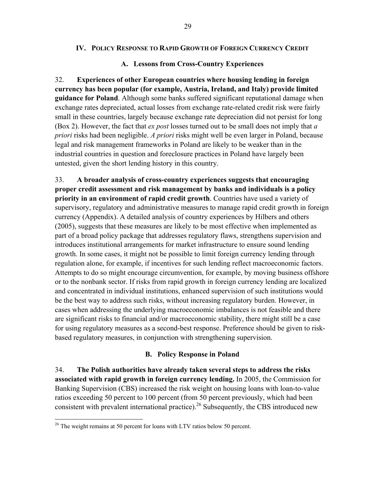#### **IV. POLICY RESPONSE TO RAPID GROWTH OF FOREIGN CURRENCY CREDIT**

#### **A. Lessons from Cross-Country Experiences**

32. **Experiences of other European countries where housing lending in foreign currency has been popular (for example, Austria, Ireland, and Italy) provide limited guidance for Poland**. Although some banks suffered significant reputational damage when exchange rates depreciated, actual losses from exchange rate-related credit risk were fairly small in these countries, largely because exchange rate depreciation did not persist for long (Box 2). However, the fact that *ex post* losses turned out to be small does not imply that *a priori* risks had been negligible. *A priori* risks might well be even larger in Poland, because legal and risk management frameworks in Poland are likely to be weaker than in the industrial countries in question and foreclosure practices in Poland have largely been untested, given the short lending history in this country.

33. **A broader analysis of cross-country experiences suggests that encouraging proper credit assessment and risk management by banks and individuals is a policy priority in an environment of rapid credit growth**. Countries have used a variety of supervisory, regulatory and administrative measures to manage rapid credit growth in foreign currency (Appendix). A detailed analysis of country experiences by Hilbers and others (2005), suggests that these measures are likely to be most effective when implemented as part of a broad policy package that addresses regulatory flaws, strengthens supervision and introduces institutional arrangements for market infrastructure to ensure sound lending growth. In some cases, it might not be possible to limit foreign currency lending through regulation alone, for example, if incentives for such lending reflect macroeconomic factors. Attempts to do so might encourage circumvention, for example, by moving business offshore or to the nonbank sector. If risks from rapid growth in foreign currency lending are localized and concentrated in individual institutions, enhanced supervision of such institutions would be the best way to address such risks, without increasing regulatory burden. However, in cases when addressing the underlying macroeconomic imbalances is not feasible and there are significant risks to financial and/or macroeconomic stability, there might still be a case for using regulatory measures as a second-best response. Preference should be given to riskbased regulatory measures, in conjunction with strengthening supervision.

#### **B. Policy Response in Poland**

34. **The Polish authorities have already taken several steps to address the risks associated with rapid growth in foreign currency lending.** In 2005, the Commission for Banking Supervision (CBS) increased the risk weight on housing loans with loan-to-value ratios exceeding 50 percent to 100 percent (from 50 percent previously, which had been consistent with prevalent international practice).<sup>26</sup> Subsequently, the CBS introduced new

 $\overline{a}$ 

 $26$  The weight remains at 50 percent for loans with LTV ratios below 50 percent.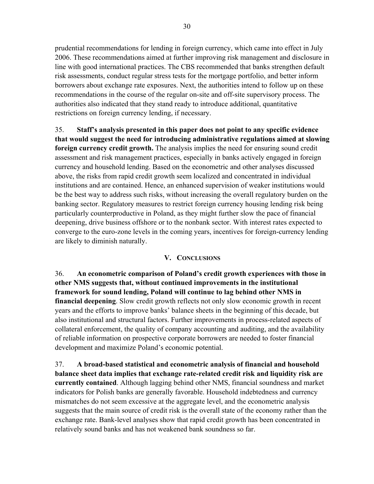prudential recommendations for lending in foreign currency, which came into effect in July 2006. These recommendations aimed at further improving risk management and disclosure in line with good international practices. The CBS recommended that banks strengthen default risk assessments, conduct regular stress tests for the mortgage portfolio, and better inform borrowers about exchange rate exposures. Next, the authorities intend to follow up on these recommendations in the course of the regular on-site and off-site supervisory process. The authorities also indicated that they stand ready to introduce additional, quantitative restrictions on foreign currency lending, if necessary.

35. **Staff's analysis presented in this paper does not point to any specific evidence that would suggest the need for introducing administrative regulations aimed at slowing foreign currency credit growth.** The analysis implies the need for ensuring sound credit assessment and risk management practices, especially in banks actively engaged in foreign currency and household lending. Based on the econometric and other analyses discussed above, the risks from rapid credit growth seem localized and concentrated in individual institutions and are contained. Hence, an enhanced supervision of weaker institutions would be the best way to address such risks, without increasing the overall regulatory burden on the banking sector. Regulatory measures to restrict foreign currency housing lending risk being particularly counterproductive in Poland, as they might further slow the pace of financial deepening, drive business offshore or to the nonbank sector. With interest rates expected to converge to the euro-zone levels in the coming years, incentives for foreign-currency lending are likely to diminish naturally.

# **V. CONCLUSIONS**

36. **An econometric comparison of Poland's credit growth experiences with those in other NMS suggests that, without continued improvements in the institutional framework for sound lending, Poland will continue to lag behind other NMS in financial deepening**. Slow credit growth reflects not only slow economic growth in recent years and the efforts to improve banks' balance sheets in the beginning of this decade, but also institutional and structural factors. Further improvements in process-related aspects of collateral enforcement, the quality of company accounting and auditing, and the availability of reliable information on prospective corporate borrowers are needed to foster financial development and maximize Poland's economic potential.

37. **A broad-based statistical and econometric analysis of financial and household balance sheet data implies that exchange rate-related credit risk and liquidity risk are currently contained**. Although lagging behind other NMS, financial soundness and market indicators for Polish banks are generally favorable. Household indebtedness and currency mismatches do not seem excessive at the aggregate level, and the econometric analysis suggests that the main source of credit risk is the overall state of the economy rather than the exchange rate. Bank-level analyses show that rapid credit growth has been concentrated in relatively sound banks and has not weakened bank soundness so far.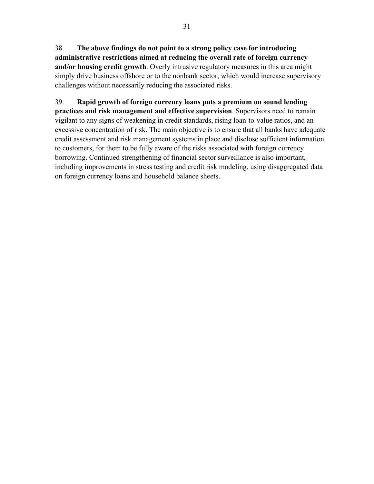38. **The above findings do not point to a strong policy case for introducing administrative restrictions aimed at reducing the overall rate of foreign currency and/or housing credit growth**. Overly intrusive regulatory measures in this area might simply drive business offshore or to the nonbank sector, which would increase supervisory challenges without necessarily reducing the associated risks.

39. **Rapid growth of foreign currency loans puts a premium on sound lending practices and risk management and effective supervision**. Supervisors need to remain vigilant to any signs of weakening in credit standards, rising loan-to-value ratios, and an excessive concentration of risk. The main objective is to ensure that all banks have adequate credit assessment and risk management systems in place and disclose sufficient information to customers, for them to be fully aware of the risks associated with foreign currency borrowing. Continued strengthening of financial sector surveillance is also important, including improvements in stress testing and credit risk modeling, using disaggregated data on foreign currency loans and household balance sheets.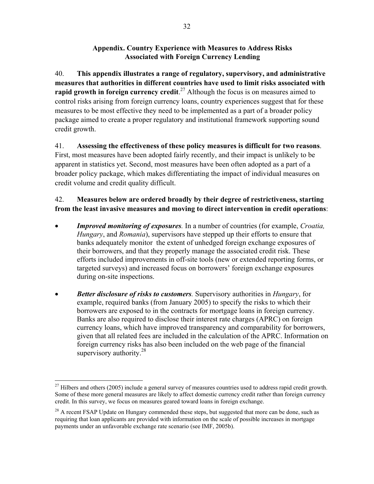# **Appendix. Country Experience with Measures to Address Risks Associated with Foreign Currency Lending**

40. **This appendix illustrates a range of regulatory, supervisory, and administrative measures that authorities in different countries have used to limit risks associated with rapid growth in foreign currency credit.**<sup>27</sup> Although the focus is on measures aimed to control risks arising from foreign currency loans, country experiences suggest that for these measures to be most effective they need to be implemented as a part of a broader policy package aimed to create a proper regulatory and institutional framework supporting sound credit growth.

#### 41. **Assessing the effectiveness of these policy measures is difficult for two reasons**. First, most measures have been adopted fairly recently, and their impact is unlikely to be

apparent in statistics yet. Second, most measures have been often adopted as a part of a broader policy package, which makes differentiating the impact of individual measures on credit volume and credit quality difficult.

# 42. **Measures below are ordered broadly by their degree of restrictiveness, starting from the least invasive measures and moving to direct intervention in credit operations**:

- *Improved monitoring of exposures.* In a number of countries (for example, *Croatia, Hungary*, and *Romania*), supervisors have stepped up their efforts to ensure that banks adequately monitor the extent of unhedged foreign exchange exposures of their borrowers, and that they properly manage the associated credit risk. These efforts included improvements in off-site tools (new or extended reporting forms, or targeted surveys) and increased focus on borrowers' foreign exchange exposures during on-site inspections.
- *Better disclosure of risks to customers.* Supervisory authorities in *Hungary*, for example, required banks (from January 2005) to specify the risks to which their borrowers are exposed to in the contracts for mortgage loans in foreign currency. Banks are also required to disclose their interest rate charges (APRC) on foreign currency loans, which have improved transparency and comparability for borrowers, given that all related fees are included in the calculation of the APRC. Information on foreign currency risks has also been included on the web page of the financial supervisory authority. $28$

 $\overline{a}$  $^{27}$  Hilbers and others (2005) include a general survey of measures countries used to address rapid credit growth. Some of these more general measures are likely to affect domestic currency credit rather than foreign currency credit. In this survey, we focus on measures geared toward loans in foreign exchange.

 $^{28}$  A recent FSAP Update on Hungary commended these steps, but suggested that more can be done, such as requiring that loan applicants are provided with information on the scale of possible increases in mortgage payments under an unfavorable exchange rate scenario (see IMF, 2005b).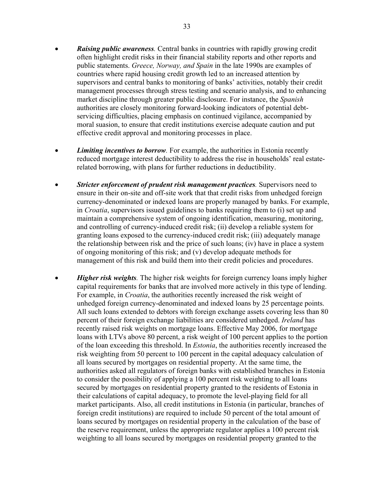- *Raising public awareness.* Central banks in countries with rapidly growing credit often highlight credit risks in their financial stability reports and other reports and public statements. *Greece, Norway, and Spain* in the late 1990s are examples of countries where rapid housing credit growth led to an increased attention by supervisors and central banks to monitoring of banks' activities, notably their credit management processes through stress testing and scenario analysis, and to enhancing market discipline through greater public disclosure. For instance, the *Spanish* authorities are closely monitoring forward-looking indicators of potential debtservicing difficulties, placing emphasis on continued vigilance, accompanied by moral suasion, to ensure that credit institutions exercise adequate caution and put effective credit approval and monitoring processes in place.
- *Limiting incentives to borrow.* For example, the authorities in Estonia recently reduced mortgage interest deductibility to address the rise in households' real estaterelated borrowing, with plans for further reductions in deductibility.
- *Stricter enforcement of prudent risk management practices.* Supervisors need to ensure in their on-site and off-site work that that credit risks from unhedged foreign currency-denominated or indexed loans are properly managed by banks. For example, in *Croatia*, supervisors issued guidelines to banks requiring them to (i) set up and maintain a comprehensive system of ongoing identification, measuring, monitoring, and controlling of currency-induced credit risk; (ii) develop a reliable system for granting loans exposed to the currency-induced credit risk; (iii) adequately manage the relationship between risk and the price of such loans; (iv) have in place a system of ongoing monitoring of this risk; and (v) develop adequate methods for management of this risk and build them into their credit policies and procedures.
- *Higher risk weights.* The higher risk weights for foreign currency loans imply higher capital requirements for banks that are involved more actively in this type of lending. For example, in *Croatia*, the authorities recently increased the risk weight of unhedged foreign currency-denominated and indexed loans by 25 percentage points. All such loans extended to debtors with foreign exchange assets covering less than 80 percent of their foreign exchange liabilities are considered unhedged. *Ireland* has recently raised risk weights on mortgage loans. Effective May 2006, for mortgage loans with LTVs above 80 percent, a risk weight of 100 percent applies to the portion of the loan exceeding this threshold. In *Estonia*, the authorities recently increased the risk weighting from 50 percent to 100 percent in the capital adequacy calculation of all loans secured by mortgages on residential property. At the same time, the authorities asked all regulators of foreign banks with established branches in Estonia to consider the possibility of applying a 100 percent risk weighting to all loans secured by mortgages on residential property granted to the residents of Estonia in their calculations of capital adequacy, to promote the level-playing field for all market participants. Also, all credit institutions in Estonia (in particular, branches of foreign credit institutions) are required to include 50 percent of the total amount of loans secured by mortgages on residential property in the calculation of the base of the reserve requirement, unless the appropriate regulator applies a 100 percent risk weighting to all loans secured by mortgages on residential property granted to the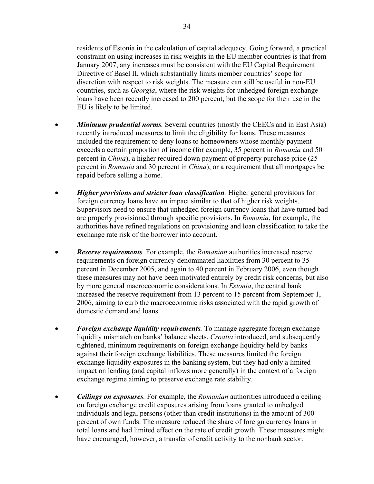residents of Estonia in the calculation of capital adequacy. Going forward, a practical constraint on using increases in risk weights in the EU member countries is that from January 2007, any increases must be consistent with the EU Capital Requirement Directive of Basel II, which substantially limits member countries' scope for discretion with respect to risk weights. The measure can still be useful in non-EU countries, such as *Georgia*, where the risk weights for unhedged foreign exchange loans have been recently increased to 200 percent, but the scope for their use in the EU is likely to be limited.

- *Minimum prudential norms.* Several countries (mostly the CEECs and in East Asia) recently introduced measures to limit the eligibility for loans. These measures included the requirement to deny loans to homeowners whose monthly payment exceeds a certain proportion of income (for example, 35 percent in *Romania* and 50 percent in *China*), a higher required down payment of property purchase price (25 percent in *Romania* and 30 percent in *China*), or a requirement that all mortgages be repaid before selling a home.
- *Higher provisions and stricter loan classification.* Higher general provisions for foreign currency loans have an impact similar to that of higher risk weights. Supervisors need to ensure that unhedged foreign currency loans that have turned bad are properly provisioned through specific provisions. In *Romania*, for example, the authorities have refined regulations on provisioning and loan classification to take the exchange rate risk of the borrower into account.
- *Reserve requirements.* For example, the *Romanian* authorities increased reserve requirements on foreign currency-denominated liabilities from 30 percent to 35 percent in December 2005, and again to 40 percent in February 2006, even though these measures may not have been motivated entirely by credit risk concerns, but also by more general macroeconomic considerations. In *Estonia*, the central bank increased the reserve requirement from 13 percent to 15 percent from September 1, 2006, aiming to curb the macroeconomic risks associated with the rapid growth of domestic demand and loans.
- *Foreign exchange liquidity requirements.* To manage aggregate foreign exchange liquidity mismatch on banks' balance sheets, *Croatia* introduced, and subsequently tightened, minimum requirements on foreign exchange liquidity held by banks against their foreign exchange liabilities. These measures limited the foreign exchange liquidity exposures in the banking system, but they had only a limited impact on lending (and capital inflows more generally) in the context of a foreign exchange regime aiming to preserve exchange rate stability.
- *Ceilings on exposures.* For example, the *Romanian* authorities introduced a ceiling on foreign exchange credit exposures arising from loans granted to unhedged individuals and legal persons (other than credit institutions) in the amount of 300 percent of own funds. The measure reduced the share of foreign currency loans in total loans and had limited effect on the rate of credit growth. These measures might have encouraged, however, a transfer of credit activity to the nonbank sector.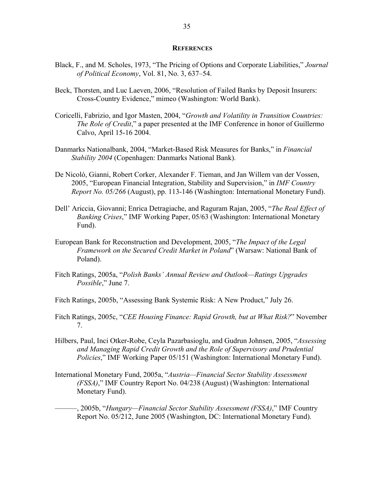#### **REFERENCES**

- Black, F., and M. Scholes, 1973, "The Pricing of Options and Corporate Liabilities," *Journal of Political Economy*, Vol. 81, No. 3, 637–54.
- Beck, Thorsten, and Luc Laeven, 2006, "Resolution of Failed Banks by Deposit Insurers: Cross-Country Evidence," mimeo (Washington: World Bank).
- Coricelli, Fabrizio, and Igor Masten, 2004, "*Growth and Volatility in Transition Countries: The Role of Credit*," a paper presented at the IMF Conference in honor of Guillermo Calvo, April 15-16 2004.
- Danmarks Nationalbank, 2004, "Market-Based Risk Measures for Banks," in *Financial Stability 2004* (Copenhagen: Danmarks National Bank).
- De Nicoló, Gianni, Robert Corker, Alexander F. Tieman, and Jan Willem van der Vossen, 2005, "European Financial Integration, Stability and Supervision," in *IMF Country Report No. 05/266* (August), pp. 113-146 (Washington: International Monetary Fund).
- Dell' Ariccia, Giovanni; Enrica Detragiache, and Raguram Rajan, 2005, "*The Real Effect of Banking Crises*," IMF Working Paper, 05/63 (Washington: International Monetary Fund).
- European Bank for Reconstruction and Development, 2005, "*The Impact of the Legal Framework on the Secured Credit Market in Poland*" (Warsaw: National Bank of Poland).
- Fitch Ratings, 2005a, "*Polish Banks' Annual Review and Outlook—Ratings Upgrades Possible*," June 7.
- Fitch Ratings, 2005b, "Assessing Bank Systemic Risk: A New Product," July 26.
- Fitch Ratings, 2005c, "*CEE Housing Finance: Rapid Growth, but at What Risk?*" November 7.
- Hilbers, Paul, Inci Otker-Robe, Ceyla Pazarbasioglu, and Gudrun Johnsen, 2005, "*Assessing and Managing Rapid Credit Growth and the Role of Supervisory and Prudential Policies*," IMF Working Paper 05/151 (Washington: International Monetary Fund).
- International Monetary Fund, 2005a, "*Austria—Financial Sector Stability Assessment (FSSA)*," IMF Country Report No. 04/238 (August) (Washington: International Monetary Fund).
	- ———, 2005b, "*Hungary—Financial Sector Stability Assessment (FSSA)*," IMF Country Report No. 05/212, June 2005 (Washington, DC: International Monetary Fund).